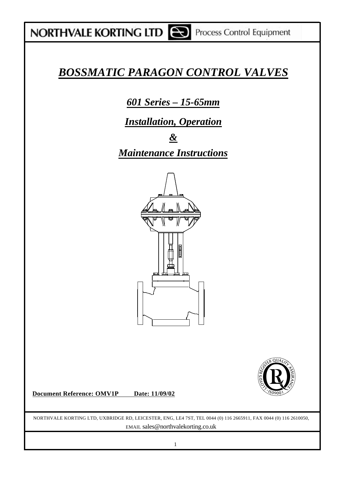## NORTHVALE KORTING LTD **CO** Process Control Equipment

## *BOSSMATIC PARAGON CONTROL VALVES*

*601 Series – 15-65mm*

*Installation, Operation*

*& Maintenance Instructions*



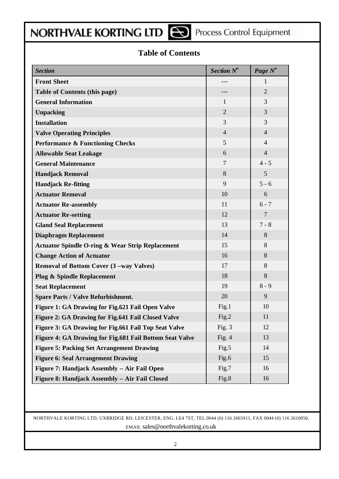## NORTHVALE KORTING LTD **CO** Process Control Equipment

### **Table of Contents**

| <b>Section</b>                                              | Section $N^o$  | Page N <sup>o</sup> |
|-------------------------------------------------------------|----------------|---------------------|
| <b>Front Sheet</b>                                          |                | 1                   |
| <b>Table of Contents (this page)</b>                        | ---            | $\overline{2}$      |
| <b>General Information</b>                                  | 1              | 3                   |
| <b>Unpacking</b>                                            | $\overline{2}$ | 3                   |
| <b>Installation</b>                                         | 3              | 3                   |
| <b>Valve Operating Principles</b>                           | $\overline{4}$ | $\overline{4}$      |
| <b>Performance &amp; Functioning Checks</b>                 | 5              | $\overline{4}$      |
| <b>Allowable Seat Leakage</b>                               | 6              | $\overline{4}$      |
| <b>General Maintenance</b>                                  | $\overline{7}$ | $4 - 5$             |
| <b>Handjack Removal</b>                                     | 8              | 5                   |
| <b>Handjack Re-fitting</b>                                  | 9              | $5 - 6$             |
| <b>Actuator Removal</b>                                     | 10             | 6                   |
| <b>Actuator Re-assembly</b>                                 | 11             | $6 - 7$             |
| <b>Actuator Re-setting</b>                                  | 12             | $\overline{7}$      |
| <b>Gland Seal Replacement</b>                               | 13             | $7 - 8$             |
| <b>Diaphragm Replacement</b>                                | 14             | 8                   |
| <b>Actuator Spindle O-ring &amp; Wear Strip Replacement</b> | 15             | 8                   |
| <b>Change Action of Actuator</b>                            | 16             | 8                   |
| Removal of Bottom Cover (3 -way Valves)                     | 17             | 8                   |
| <b>Plug &amp; Spindle Replacement</b>                       | 18             | 8                   |
| <b>Seat Replacement</b>                                     | 19             | $8 - 9$             |
| <b>Spare Parts / Valve Refurbishment.</b>                   | 20             | 9                   |
| Figure 1: GA Drawing for Fig.621 Fail Open Valve            | Fig.1          | 10                  |
| Figure 2: GA Drawing for Fig.641 Fail Closed Valve          | Fig.2          | 11                  |
| Figure 3: GA Drawing for Fig.661 Fail Top Seat Valve        | Fig. $3$       | 12                  |
| Figure 4: GA Drawing for Fig.681 Fail Bottom Seat Valve     | Fig. $4$       | 13                  |
| <b>Figure 5: Packing Set Arrangement Drawing</b>            | Fig.5          | 14                  |
| <b>Figure 6: Seal Arrangement Drawing</b>                   | Fig.6          | 15                  |
| Figure 7: Handjack Assembly - Air Fail Open                 | Fig.7          | 16                  |
| Figure 8: Handjack Assembly - Air Fail Closed               | Fig.8          | 16                  |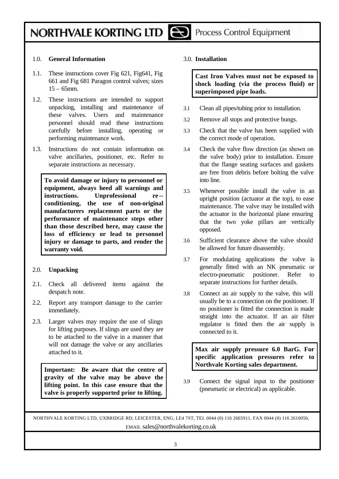#### 1.0. **General Information**

- 1.1. These instructions cover Fig 621, Fig641, Fig 661 and Fig 681 Paragon control valves; sizes  $15 - 65$ mm.
- 1.2. These instructions are intended to support unpacking, installing and maintenance of these valves. Users and maintenance personnel should read these instructions carefully before installing, operating or performing maintenance work.
- 1.3. Instructions do not contain information on valve ancillaries, positioner, etc. Refer to separate instructions as necessary.

**To avoid damage or injury to personnel or equipment, always heed all warnings and instructions. Unprofessional re - conditioning, the use of non-original manufacturers replacement parts or the performance of maintenance steps other than those described here, may cause the loss of efficiency or lead to personnel injury or damage to parts, and render the warranty void.**

#### 2.0. **Unpacking**

- 2.1. Check all delivered items against the despatch note.
- 2.2. Report any transport damage to the carrier immediately.
- 2.3. Larger valves may require the use of slings for lifting purposes. If slings are used they are to be attached to the valve in a manner that will not damage the valve or any ancillaries attached to it.

**Important: Be aware that the centre of gravity of the valve may be above the lifting point. In this case ensure that the valve is properly supported prior to lifting.**

3.0. **Installation**

**Cast Iron Valves must not be exposed to shock loading (via the process fluid) or superimposed pipe loads.**

- 3.1 Clean all pipes/tubing prior to installation.
- 3.2 Remove all stops and protective bungs.
- 3.3 Check that the valve has been supplied with the correct mode of operation.
- 3.4 Check the valve flow direction (as shown on the valve body) prior to installation. Ensure that the flange seating surfaces and gaskets are free from debris before bolting the valve into line.
- 3.5 Whenever possible install the valve in an upright position (actuator at the top), to ease maintenance. The valve may be installed with the actuator in the horizontal plane ensuring that the two yoke pillars are vertically opposed.
- 3.6 Sufficient clearance above the valve should be allowed for future disassembly.
- 3.7 For modulating applications the valve is generally fitted with an NK pneumatic or electro-pneumatic positioner. Refer to separate instructions for further details.
- 3.8 Connect an air supply to the valve, this will usually be to a connection on the positioner. If no positioner is fitted the connection is made straight into the actuator. If an air filter regulator is fitted then the air supply is connected to it.

**Max air supply pressure 6.0 BarG. For specific application pressures refer to Northvale Korting sales department.**

3.9 Connect the signal input to the positioner (pneumatic or electrical) as applicable.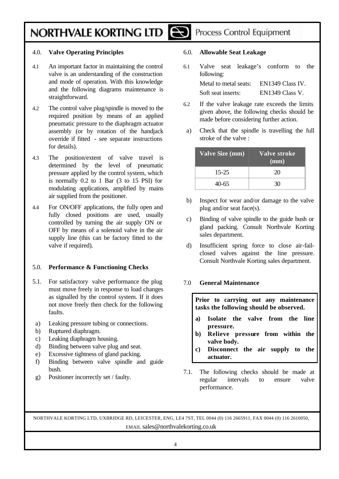### Process Control Equipment

#### 4.0. **Valve Operating Principles**

- 4.1 An important factor in maintaining the control valve is an understanding of the construction and mode of operation. With this knowledge and the following diagrams maintenance is straightforward.
- 4.2 The control valve plug/spindle is moved to the required position by means of an applied pneumatic pressure to the diaphragm actuator assembly (or by rotation of the handjack override if fitted - see separate instructions for details).
- 4.3 The position/extent of valve travel is determined by the level of pneumatic pressure applied by the control system, which is normally 0.2 to 1 Bar (3 to 15 PSI) for modulating applications, amplified by mains air supplied from the positioner.
- 4.4 For ON/OFF applications, the fully open and fully closed positions are used, usually controlled by turning the air supply ON or OFF by means of a solenoid valve in the air supply line (this can be factory fitted to the valve if required).

#### 5.0. **Performance & Functioning Checks**

- 5.1. For satisfactory valve performance the plug must move freely in response to load changes as signalled by the control system. If it does not move freely then check for the following faults.
- a) Leaking pressure tubing or connections.
- b) Ruptured diaphragm.
- c) Leaking diaphragm housing.
- d) Binding between valve plug and seat.
- e) Excessive tightness of gland packing.
- f) Binding between valve spindle and guide bush.
- g) Positioner incorrectly set / faulty.

#### 6.0. **Allowable Seat Leakage**

6.1 Valve seat leakage's conform to the following:

| Metal to metal seats: | EN1349 Class IV. |
|-----------------------|------------------|
| Soft seat inserts:    | EN1349 Class V.  |

- 6.2 If the valve leakage rate exceeds the limits given above, the following checks should be made before considering further action.
- a) Check that the spindle is travelling the full stroke of the valve :

| <b>Valve Size (mm)</b> | Valve stroke<br>(mm) |
|------------------------|----------------------|
| $15 - 25$              | 20                   |
| 40-65                  | 30                   |

- b) Inspect for wear and/or damage to the valve plug and/or seat face(s).
- c) Binding of valve spindle to the guide bush or gland packing. Consult Northvale Korting sales department.
- d) Insufficient spring force to close air-failclosed valves against the line pressure. Consult Northvale Korting sales department.

#### 7.0 **General Maintenance**

**Prior to carrying out any maintenance tasks the following should be observed.**

- **a) Isolate the valve from the line pressure.**
- **b) Relieve pressure from within the valve body.**
- **c) Disconnect the air supply to the actuator.**
- 7.1. The following checks should be made at regular intervals to ensure valve performance.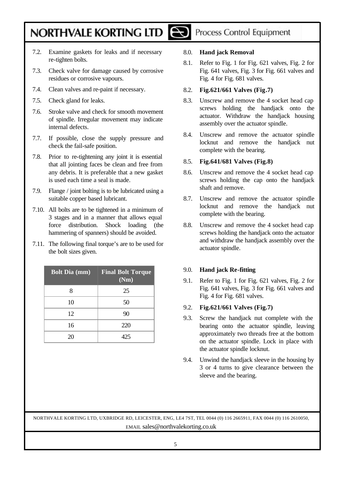- 7.2. Examine gaskets for leaks and if necessary re-tighten bolts.
- 7.3. Check valve for damage caused by corrosive residues or corrosive vapours.
- 7.4. Clean valves and re-paint if necessary.
- 7.5. Check gland for leaks.
- 7.6. Stroke valve and check for smooth movement of spindle. Irregular movement may indicate internal defects.
- 7.7. If possible, close the supply pressure and check the fail-safe position.
- 7.8. Prior to re-tightening any joint it is essential that all jointing faces be clean and free from any debris. It is preferable that a new gasket is used each time a seal is made.
- 7.9. Flange / joint bolting is to be lubricated using a suitable copper based lubricant.
- 7.10. All bolts are to be tightened in a minimum of 3 stages and in a manner that allows equal force distribution. Shock loading (the hammering of spanners) should be avoided.
- 7.11. The following final torque's are to be used for the bolt sizes given.

| <b>Bolt Dia (mm)</b> | <b>Final Bolt Torque</b><br>(Nm) |
|----------------------|----------------------------------|
| 8                    | 25                               |
| 10                   | 50                               |
| 12                   | 90                               |
| 16                   | 220                              |
| 20                   | 425                              |

## Process Control Equipment

#### 8.0. **Hand jack Removal**

8.1. Refer to Fig. 1 for Fig. 621 valves, Fig. 2 for Fig. 641 valves, Fig. 3 for Fig. 661 valves and Fig. 4 for Fig. 681 valves.

#### 8.2. **Fig.621/661 Valves (Fig.7)**

- 8.3. Unscrew and remove the 4 socket head cap screws holding the handjack onto the actuator. Withdraw the handjack housing assembly over the actuator spindle.
- 8.4. Unscrew and remove the actuator spindle locknut and remove the handjack nut complete with the bearing.

#### 8.5. **Fig.641/681 Valves (Fig.8)**

- 8.6. Unscrew and remove the 4 socket head cap screws holding the cap onto the handjack shaft and remove.
- 8.7. Unscrew and remove the actuator spindle locknut and remove the handjack nut complete with the bearing.
- 8.8. Unscrew and remove the 4 socket head cap screws holding the handjack onto the actuator and withdraw the handjack assembly over the actuator spindle.

#### 9.0. **Hand jack Re-fitting**

9.1. Refer to Fig. 1 for Fig. 621 valves, Fig. 2 for Fig. 641 valves, Fig. 3 for Fig. 661 valves and Fig. 4 for Fig. 681 valves.

#### 9.2. **Fig.621/661 Valves (Fig.7)**

- 9.3. Screw the handjack nut complete with the bearing onto the actuator spindle, leaving approximately two threads free at the bottom on the actuator spindle. Lock in place with the actuator spindle locknut.
- 9.4. Unwind the handjack sleeve in the housing by 3 or 4 turns to give clearance between the sleeve and the bearing.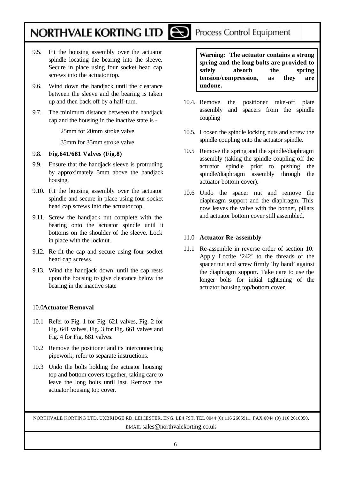- 9.5. Fit the housing assembly over the actuator spindle locating the bearing into the sleeve. Secure in place using four socket head cap screws into the actuator top.
- 9.6. Wind down the handjack until the clearance between the sleeve and the bearing is taken up and then back off by a half-turn.
- 9.7. The minimum distance between the handjack cap and the housing in the inactive state is -

25mm for 20mm stroke valve.

35mm for 35mm stroke valve,

- 9.8. **Fig.641/681 Valves (Fig.8)**
- 9.9. Ensure that the handjack sleeve is protruding by approximately 5mm above the handjack housing.
- 9.10. Fit the housing assembly over the actuator spindle and secure in place using four socket head cap screws into the actuator top.
- 9.11. Screw the handjack nut complete with the bearing onto the actuator spindle until it bottoms on the shoulder of the sleeve. Lock in place with the locknut.
- 9.12. Re-fit the cap and secure using four socket head cap screws.
- 9.13. Wind the handjack down until the cap rests upon the housing to give clearance below the bearing in the inactive state

#### 10.0**Actuator Removal**

- 10.1 Refer to Fig. 1 for Fig. 621 valves, Fig. 2 for Fig. 641 valves, Fig. 3 for Fig. 661 valves and Fig. 4 for Fig. 681 valves.
- 10.2 Remove the positioner and its interconnecting pipework; refer to separate instructions.
- 10.3 Undo the bolts holding the actuator housing top and bottom covers together, taking care to leave the long bolts until last. Remove the actuator housing top cover.

**Warning: The actuator contains a strong spring and the long bolts are provided to** 

Process Control Equipment

**safely absorb the spring tension/compression, as they are undone.**

- 10.4. Remove the positioner take-off plate assembly and spacers from the spindle coupling
- 10.5. Loosen the spindle locking nuts and screw the spindle coupling onto the actuator spindle.
- 10.5 Remove the spring and the spindle/diaphragm assembly (taking the spindle coupling off the actuator spindle prior to pushing the spindle/diaphragm assembly through the actuator bottom cover).
- 10.6 Undo the spacer nut and remove the diaphragm support and the diaphragm. This now leaves the valve with the bonnet, pillars and actuator bottom cover still assembled.

#### 11.0 **Actuator Re-assembly**

11.1 Re-assemble in reverse order of section 10. Apply Loctite '242' to the threads of the spacer nut and screw firmly 'by hand' against the diaphragm support**.** Take care to use the longer bolts for initial tightening of the actuator housing top/bottom cover.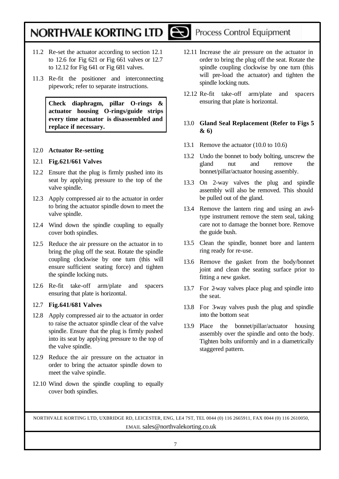

### Process Control Equipment

- 11.2 Re-set the actuator according to section 12.1 to 12.6 for Fig 621 or Fig 661 valves or 12.7 to 12.12 for Fig 641 or Fig 681 valves.
- 11.3 Re-fit the positioner and interconnecting pipework; refer to separate instructions.

**Check diaphragm, pillar O-rings & actuator housing O-rings/guide strips every time actuator is disassembled and replace if necessary.**

#### 12.0 **Actuator Re-setting**

#### 12.1 **Fig.621/661 Valves**

- 12.2 Ensure that the plug is firmly pushed into its seat by applying pressure to the top of the valve spindle.
- 12.3 Apply compressed air to the actuator in order to bring the actuator spindle down to meet the valve spindle.
- 12.4 Wind down the spindle coupling to equally cover both spindles.
- 12.5 Reduce the air pressure on the actuator in to bring the plug off the seat. Rotate the spindle coupling clockwise by one turn (this will ensure sufficient seating force) and tighten the spindle locking nuts.
- 12.6 Re-fit take-off arm/plate and spacers ensuring that plate is horizontal.

#### 12.7 **Fig.641/681 Valves**

- 12.8 Apply compressed air to the actuator in order to raise the actuator spindle clear of the valve spindle. Ensure that the plug is firmly pushed into its seat by applying pressure to the top of the valve spindle.
- 12.9 Reduce the air pressure on the actuator in order to bring the actuator spindle down to meet the valve spindle.
- 12.10 Wind down the spindle coupling to equally cover both spindles.
- 12.11 Increase the air pressure on the actuator in order to bring the plug off the seat. Rotate the spindle coupling clockwise by one turn (this will pre-load the actuator) and tighten the spindle locking nuts.
- 12.12 Re-fit take-off arm/plate and spacers ensuring that plate is horizontal.

#### 13.0 **Gland Seal Replacement (Refer to Figs 5 & 6)**

- 13.1 Remove the actuator (10.0 to 10.6)
- 13.2 Undo the bonnet to body bolting, unscrew the gland nut and remove the bonnet/pillar/actuator housing assembly.
- 13.3 On 2-way valves the plug and spindle assembly will also be removed. This should be pulled out of the gland.
- 13.4 Remove the lantern ring and using an awltype instrument remove the stem seal, taking care not to damage the bonnet bore. Remove the guide bush.
- 13.5 Clean the spindle, bonnet bore and lantern ring ready for re-use.
- 13.6 Remove the gasket from the body/bonnet joint and clean the seating surface prior to fitting a new gasket.
- 13.7 For 2-way valves place plug and spindle into the seat.
- 13.8 For 3-way valves push the plug and spindle into the bottom seat
- 13.9 Place the bonnet/pillar/actuator housing assembly over the spindle and onto the body. Tighten bolts uniformly and in a diametrically staggered pattern.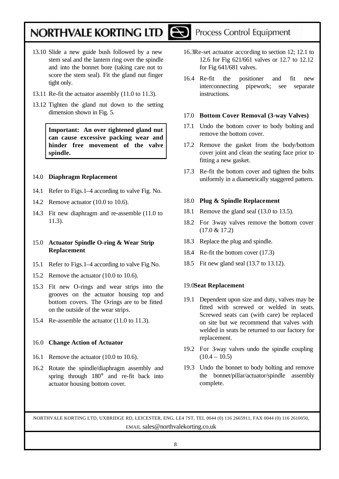

- 13.11 Re-fit the actuator assembly (11.0 to 11.3).
- 13.12 Tighten the gland nut down to the setting dimension shown in Fig. 5.

**Important: An over tightened gland nut can cause excessive packing wear and hinder free movement of the valve spindle.**

#### 14.0 **Diaphragm Replacement**

- 14.1 Refer to Figs.1–4 according to valve Fig. No.
- 14.2 Remove actuator (10.0 to 10.6).
- 14.3 Fit new diaphragm and re-assemble (11.0 to 11.3).

#### 15.0 **Actuator Spindle O-ring & Wear Strip Replacement**

- 15.1 Refer to Figs.1–4 according to valve Fig No.
- 15.2 Remove the actuator (10.0 to 10.6).
- 15.3 Fit new O-rings and wear strips into the grooves on the actuator housing top and bottom covers. The Orings are to be fitted on the outside of the wear strips.
- 15.4 Re-assemble the actuator (11.0 to 11.3).

#### 16.0 **Change Action of Actuator**

- 16.1 Remove the actuator (10.0 to 10.6).
- 16.2 Rotate the spindle/diaphragm assembly and spring through 180° and re-fit back into actuator housing bottom cover.
- 16.3Re-set actuator according to section 12; 12.1 to 12.6 for Fig 621/661 valves or 12.7 to 12.12 for Fig 641/681 valves.
- 16.4 Re-fit the positioner and fit new interconnecting pipework; see separate instructions.

#### 17.0 **Bottom Cover Removal (3-way Valves)**

- 17.1 Undo the bottom cover to body bolting and remove the bottom cover.
- 17.2 Remove the gasket from the body/bottom cover joint and clean the seating face prior to fitting a new gasket.
- 17.3 Re-fit the bottom cover and tighten the bolts uniformly in a diametrically staggered pattern.

#### 18.0 **Plug & Spindle Replacement**

- 18.1 Remove the gland seal (13.0 to 13.5).
- 18.2 For 3-way valves remove the bottom cover (17.0 & 17.2)
- 18.3 Replace the plug and spindle.
- 18.4 Re-fit the bottom cover (17.3)
- 18.5 Fit new gland seal (13.7 to 13.12).

#### 19.0**Seat Replacement**

- 19.1 Dependent upon size and duty, valves may be fitted with screwed or welded in seats. Screwed seats can (with care) be replaced on site but we recommend that valves with welded in seats be returned to our factory for replacement.
- 19.2 For 3-way valves undo the spindle coupling  $(10.4 - 10.5)$
- 19.3 Undo the bonnet to body bolting and remove the bonnet/pillar/actuator/spindle assembly complete.

NORTHVALE KORTING LTD, UXBRIDGE RD, LEICESTER, ENG, LE4 7ST, TEL 0044 (0) 116 2665911, FAX 0044 (0) 116 2610050, EMAIL sales@northvalekorting.co.uk

### Process Control Equipment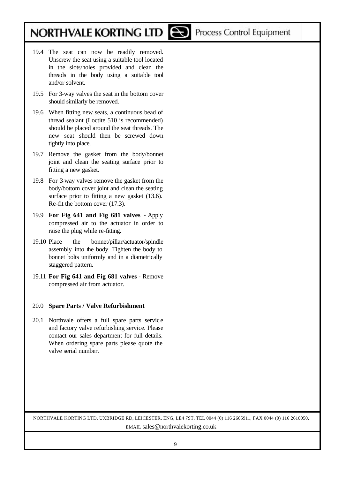- 19.4 The seat can now be readily removed. Unscrew the seat using a suitable tool located in the slots/holes provided and clean the threads in the body using a suitable tool and/or solvent.
- 19.5 For 3-way valves the seat in the bottom cover should similarly be removed.
- 19.6 When fitting new seats, a continuous bead of thread sealant (Loctite 510 is recommended) should be placed around the seat threads. The new seat should then be screwed down tightly into place.
- 19.7 Remove the gasket from the body/bonnet joint and clean the seating surface prior to fitting a new gasket.
- 19.8 For 3-way valves remove the gasket from the body/bottom cover joint and clean the seating surface prior to fitting a new gasket (13.6). Re-fit the bottom cover (17.3).
- 19.9 **For Fig 641 and Fig 681 valves**  Apply compressed air to the actuator in order to raise the plug while re-fitting.
- 19.10 Place the bonnet/pillar/actuator/spindle assembly into the body. Tighten the body to bonnet bolts uniformly and in a diametrically staggered pattern.
- 19.11 **For Fig 641 and Fig 681 valves**  Remove compressed air from actuator.

#### 20.0 **Spare Parts / Valve Refurbishment**

20.1 Northvale offers a full spare parts service and factory valve refurbishing service. Please contact our sales department for full details. When ordering spare parts please quote the valve serial number.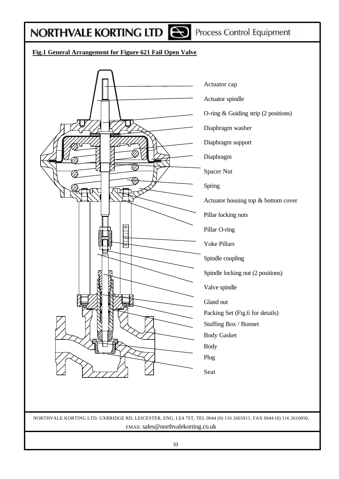## **NORTHVALE KORTING LTD REPROCESS Control Equipment**

### **Fig.1 General Arrangement for Figure 621 Fail Open Valve**

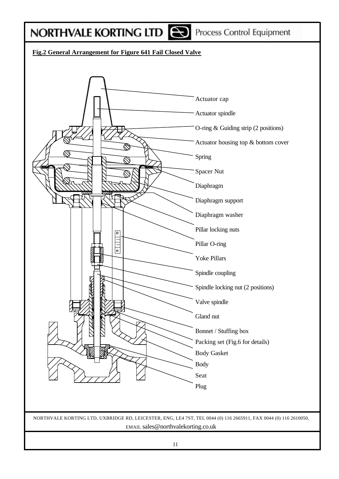Process Control Equipment

### **Fig.2 General Arrangement for Figure 641 Fail Closed Valve**

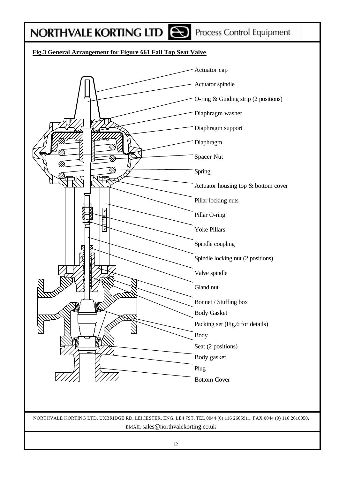Process Control Equipment

### **Fig.3 General Arrangement for Figure 661 Fail Top Seat Valve**

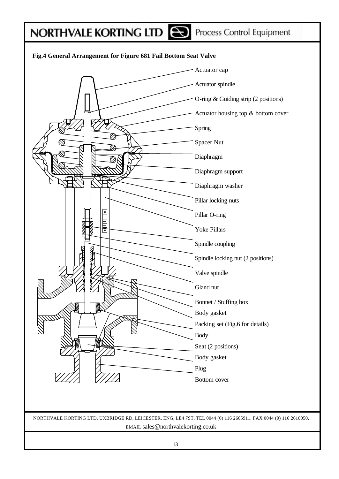Process Control Equipment

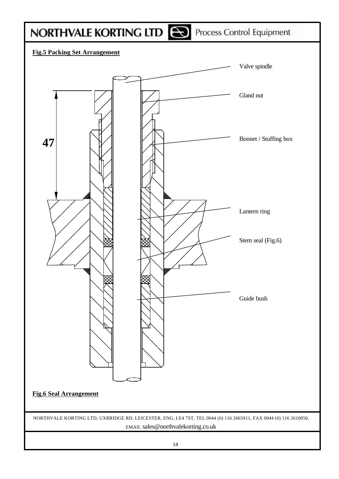# NORTHVALE KORTING LTD **CO** Process Control Equipment



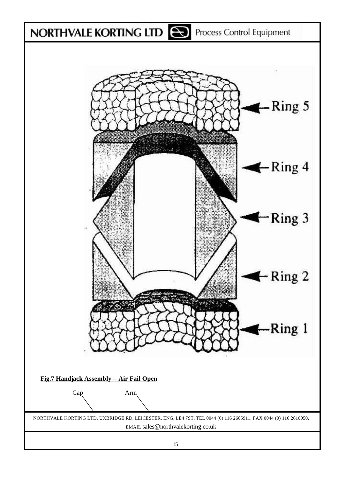